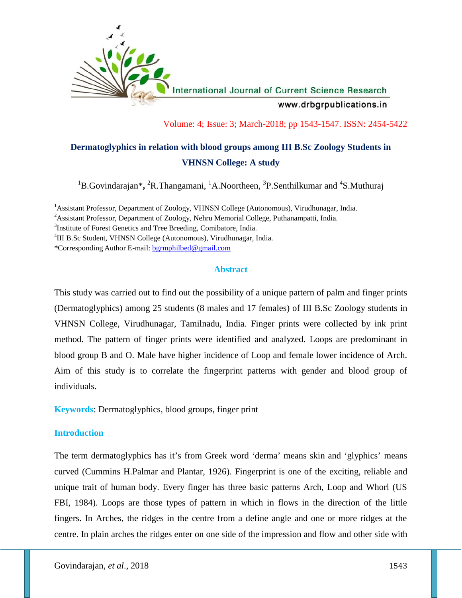

Volume: 4; Issue: 3; March-2018; pp 1543-1547. ISSN: 2454-5422

# **Dermatoglyphics in relation with blood groups among III B.Sc Zoology Students in VHNSN College: A study**

<sup>1</sup>B.Govindarajan<sup>\*</sup>, <sup>2</sup>R.Thangamani, <sup>1</sup>A.Noortheen, <sup>3</sup>P.Senthilkumar and <sup>4</sup>S.Muthuraj

<sup>1</sup>Assistant Professor, Department of Zoology, VHNSN College (Autonomous), Virudhunagar, India.

<sup>2</sup>Assistant Professor, Department of Zoology, Nehru Memorial College, Puthanampatti, India.

<sup>3</sup>Institute of Forest Genetics and Tree Breeding, Comibatore, India.

<sup>4</sup>III B.Sc Student, VHNSN College (Autonomous), Virudhunagar, India.

\*Corresponding Author E-mail: bgrmphilbed@gmail.com

## **Abstract**

This study was carried out to find out the possibility of a unique pattern of palm and finger prints (Dermatoglyphics) among 25 students (8 males and 17 females) of III B.Sc Zoology students in VHNSN College, Virudhunagar, Tamilnadu, India. Finger prints were collected by ink print method. The pattern of finger prints were identified and analyzed. Loops are predominant in blood group B and O. Male have higher incidence of Loop and female lower incidence of Arch. Aim of this study is to correlate the fingerprint patterns with gender and blood group of individuals.

**Keywords**: Dermatoglyphics, blood groups, finger print

## **Introduction**

The term dermatoglyphics has it's from Greek word 'derma' means skin and 'glyphics' means curved (Cummins H.Palmar and Plantar, 1926). Fingerprint is one of the exciting, reliable and unique trait of human body. Every finger has three basic patterns Arch, Loop and Whorl (US FBI, 1984). Loops are those types of pattern in which in flows in the direction of the little fingers. In Arches, the ridges in the centre from a define angle and one or more ridges at the centre. In plain arches the ridges enter on one side of the impression and flow and other side with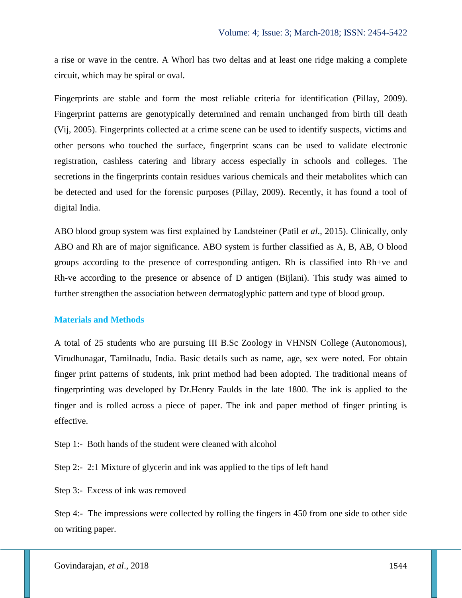a rise or wave in the centre. A Whorl has two deltas and at least one ridge making a complete circuit, which may be spiral or oval.

Fingerprints are stable and form the most reliable criteria for identification (Pillay, 2009). Fingerprint patterns are genotypically determined and remain unchanged from birth till death (Vij, 2005). Fingerprints collected at a crime scene can be used to identify suspects, victims and other persons who touched the surface, fingerprint scans can be used to validate electronic registration, cashless catering and library access especially in schools and colleges. The secretions in the fingerprints contain residues various chemicals and their metabolites which can be detected and used for the forensic purposes (Pillay, 2009). Recently, it has found a tool of digital India.

ABO blood group system was first explained by Landsteiner (Patil *et al*., 2015). Clinically, only ABO and Rh are of major significance. ABO system is further classified as A, B, AB, O blood groups according to the presence of corresponding antigen. Rh is classified into Rh+ve and Rh-ve according to the presence or absence of D antigen (Bijlani). This study was aimed to further strengthen the association between dermatoglyphic pattern and type of blood group.

## **Materials and Methods**

A total of 25 students who are pursuing III B.Sc Zoology in VHNSN College (Autonomous), Virudhunagar, Tamilnadu, India. Basic details such as name, age, sex were noted. For obtain finger print patterns of students, ink print method had been adopted. The traditional means of fingerprinting was developed by Dr.Henry Faulds in the late 1800. The ink is applied to the finger and is rolled across a piece of paper. The ink and paper method of finger printing is effective.

Step 1:- Both hands of the student were cleaned with alcohol

Step 2:- 2:1 Mixture of glycerin and ink was applied to the tips of left hand

Step 3:- Excess of ink was removed

Step 4:- The impressions were collected by rolling the fingers in 450 from one side to other side on writing paper.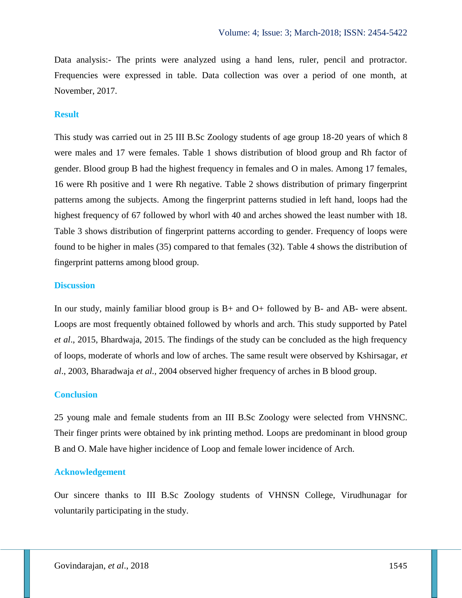Data analysis:- The prints were analyzed using a hand lens, ruler, pencil and protractor. Frequencies were expressed in table. Data collection was over a period of one month, at November, 2017.

#### **Result**

This study was carried out in 25 III B.Sc Zoology students of age group 18-20 years of which 8 were males and 17 were females. Table 1 shows distribution of blood group and Rh factor of gender. Blood group B had the highest frequency in females and O in males. Among 17 females, 16 were Rh positive and 1 were Rh negative. Table 2 shows distribution of primary fingerprint patterns among the subjects. Among the fingerprint patterns studied in left hand, loops had the highest frequency of 67 followed by whorl with 40 and arches showed the least number with 18. Table 3 shows distribution of fingerprint patterns according to gender. Frequency of loops were found to be higher in males (35) compared to that females (32). Table 4 shows the distribution of fingerprint patterns among blood group.

#### **Discussion**

In our study, mainly familiar blood group is B+ and O+ followed by B- and AB- were absent. Loops are most frequently obtained followed by whorls and arch. This study supported by Patel *et al*., 2015, Bhardwaja, 2015. The findings of the study can be concluded as the high frequency of loops, moderate of whorls and low of arches. The same result were observed by Kshirsagar, *et al*., 2003, Bharadwaja *et al.,* 2004 observed higher frequency of arches in B blood group.

#### **Conclusion**

25 young male and female students from an III B.Sc Zoology were selected from VHNSNC. Their finger prints were obtained by ink printing method. Loops are predominant in blood group B and O. Male have higher incidence of Loop and female lower incidence of Arch.

#### **Acknowledgement**

Our sincere thanks to III B.Sc Zoology students of VHNSN College, Virudhunagar for voluntarily participating in the study.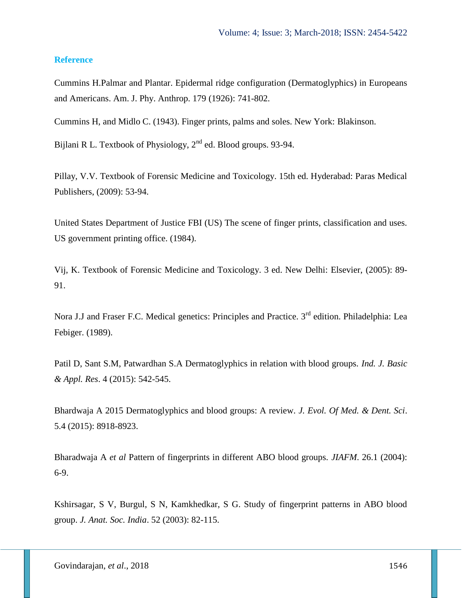## **Reference**

Cummins H.Palmar and Plantar. Epidermal ridge configuration (Dermatoglyphics) in Europeans and Americans. Am. J. Phy. Anthrop. 179 (1926): 741-802.

Cummins H, and Midlo C. (1943). Finger prints, palms and soles. New York: Blakinson.

Bijlani R L. Textbook of Physiology,  $2<sup>nd</sup>$  ed. Blood groups. 93-94.

Pillay, V.V. Textbook of Forensic Medicine and Toxicology. 15th ed. Hyderabad: Paras Medical Publishers, (2009): 53-94.

United States Department of Justice FBI (US) The scene of finger prints, classification and uses. US government printing office. (1984).

Vij, K. Textbook of Forensic Medicine and Toxicology. 3 ed. New Delhi: Elsevier, (2005): 89- 91.

Nora J.J and Fraser F.C. Medical genetics: Principles and Practice. 3<sup>rd</sup> edition. Philadelphia: Lea Febiger. (1989).

Patil D, Sant S.M, Patwardhan S.A Dermatoglyphics in relation with blood groups. *Ind. J. Basic & Appl. Res*. 4 (2015): 542-545.

Bhardwaja A 2015 Dermatoglyphics and blood groups: A review. *J. Evol. Of Med. & Dent. Sci*. 5.4 (2015): 8918-8923.

Bharadwaja A *et al* Pattern of fingerprints in different ABO blood groups. *JIAFM*. 26.1 (2004): 6-9.

Kshirsagar, S V, Burgul, S N, Kamkhedkar, S G. Study of fingerprint patterns in ABO blood group. *J. Anat. Soc. India*. 52 (2003): 82-115.